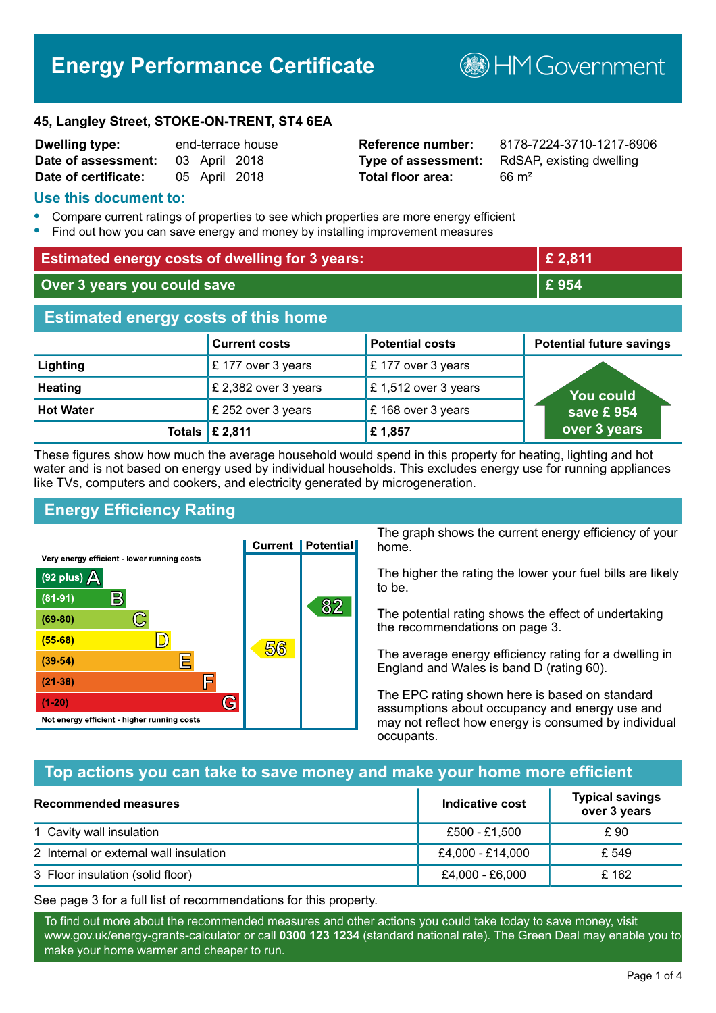# **Energy Performance Certificate**

**BHM Government** 

#### **45, Langley Street, STOKE-ON-TRENT, ST4 6EA**

| <b>Dwelling type:</b> | end-terrace house |               |               |
|-----------------------|-------------------|---------------|---------------|
| Date of assessment:   |                   |               | 03 April 2018 |
| Date of certificate:  |                   | 05 April 2018 |               |

# **Total floor area:** 66 m<sup>2</sup>

**Reference number:** 8178-7224-3710-1217-6906 **Type of assessment:** RdSAP, existing dwelling

# **Use this document to:**

- **•** Compare current ratings of properties to see which properties are more energy efficient
- **•** Find out how you can save energy and money by installing improvement measures

| <b>Estimated energy costs of dwelling for 3 years:</b> |                           | £ 2,811                |                                 |
|--------------------------------------------------------|---------------------------|------------------------|---------------------------------|
| Over 3 years you could save                            |                           | £954                   |                                 |
| <b>Estimated energy costs of this home</b>             |                           |                        |                                 |
|                                                        | <b>Current costs</b>      | <b>Potential costs</b> | <b>Potential future savings</b> |
| Lighting                                               | £177 over 3 years         | £177 over 3 years      |                                 |
| <b>Heating</b>                                         | £ 2,382 over 3 years      | £ 1,512 over 3 years   | <u>Yo</u> u could               |
| <b>Hot Water</b>                                       | £ 252 over 3 years        | £168 over 3 years      | save £954                       |
|                                                        | Totals $\mathsf{E}$ 2,811 | £1,857                 | over 3 years                    |

These figures show how much the average household would spend in this property for heating, lighting and hot water and is not based on energy used by individual households. This excludes energy use for running appliances like TVs, computers and cookers, and electricity generated by microgeneration.

# **Energy Efficiency Rating**



The graph shows the current energy efficiency of your home.

The higher the rating the lower your fuel bills are likely to be.

The potential rating shows the effect of undertaking the recommendations on page 3.

The average energy efficiency rating for a dwelling in England and Wales is band D (rating 60).

The EPC rating shown here is based on standard assumptions about occupancy and energy use and may not reflect how energy is consumed by individual occupants.

# **Top actions you can take to save money and make your home more efficient**

| <b>Recommended measures</b>            | Indicative cost  | <b>Typical savings</b><br>over 3 years |
|----------------------------------------|------------------|----------------------------------------|
| 1 Cavity wall insulation               | £500 - £1.500    | £ 90                                   |
| 2 Internal or external wall insulation | £4,000 - £14,000 | £ 549                                  |
| 3 Floor insulation (solid floor)       | £4,000 - £6,000  | £ 162                                  |

See page 3 for a full list of recommendations for this property.

To find out more about the recommended measures and other actions you could take today to save money, visit www.gov.uk/energy-grants-calculator or call **0300 123 1234** (standard national rate). The Green Deal may enable you to make your home warmer and cheaper to run.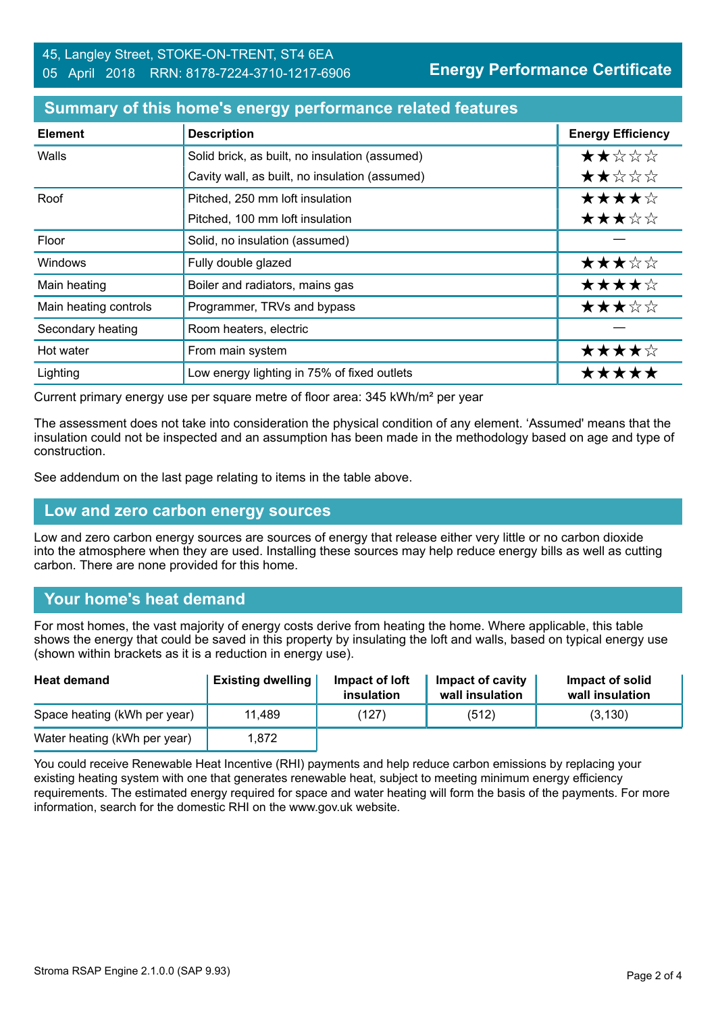#### **Summary of this home's energy performance related features**

| <b>Element</b>        | <b>Description</b>                             | <b>Energy Efficiency</b> |
|-----------------------|------------------------------------------------|--------------------------|
| Walls                 | Solid brick, as built, no insulation (assumed) | ★★☆☆☆                    |
|                       | Cavity wall, as built, no insulation (assumed) | ★★☆☆☆                    |
| Roof                  | Pitched, 250 mm loft insulation                | ★★★★☆                    |
|                       | Pitched, 100 mm loft insulation                | ★★★☆☆                    |
| Floor                 | Solid, no insulation (assumed)                 |                          |
| <b>Windows</b>        | Fully double glazed                            | ★★★☆☆                    |
| Main heating          | Boiler and radiators, mains gas                | ★★★★☆                    |
| Main heating controls | Programmer, TRVs and bypass                    | ★★★☆☆                    |
| Secondary heating     | Room heaters, electric                         |                          |
| Hot water             | From main system                               | ★★★★☆                    |
| Lighting              | Low energy lighting in 75% of fixed outlets    | *****                    |

Current primary energy use per square metre of floor area: 345 kWh/m² per year

The assessment does not take into consideration the physical condition of any element. 'Assumed' means that the insulation could not be inspected and an assumption has been made in the methodology based on age and type of construction.

See addendum on the last page relating to items in the table above.

#### **Low and zero carbon energy sources**

Low and zero carbon energy sources are sources of energy that release either very little or no carbon dioxide into the atmosphere when they are used. Installing these sources may help reduce energy bills as well as cutting carbon. There are none provided for this home.

# **Your home's heat demand**

For most homes, the vast majority of energy costs derive from heating the home. Where applicable, this table shows the energy that could be saved in this property by insulating the loft and walls, based on typical energy use (shown within brackets as it is a reduction in energy use).

| <b>Heat demand</b>           | <b>Existing dwelling</b> | Impact of loft<br>insulation | Impact of cavity<br>wall insulation | Impact of solid<br>wall insulation |
|------------------------------|--------------------------|------------------------------|-------------------------------------|------------------------------------|
| Space heating (kWh per year) | 11,489                   | (127)                        | (512)                               | (3, 130)                           |
| Water heating (kWh per year) | 1.872                    |                              |                                     |                                    |

You could receive Renewable Heat Incentive (RHI) payments and help reduce carbon emissions by replacing your existing heating system with one that generates renewable heat, subject to meeting minimum energy efficiency requirements. The estimated energy required for space and water heating will form the basis of the payments. For more information, search for the domestic RHI on the www.gov.uk website.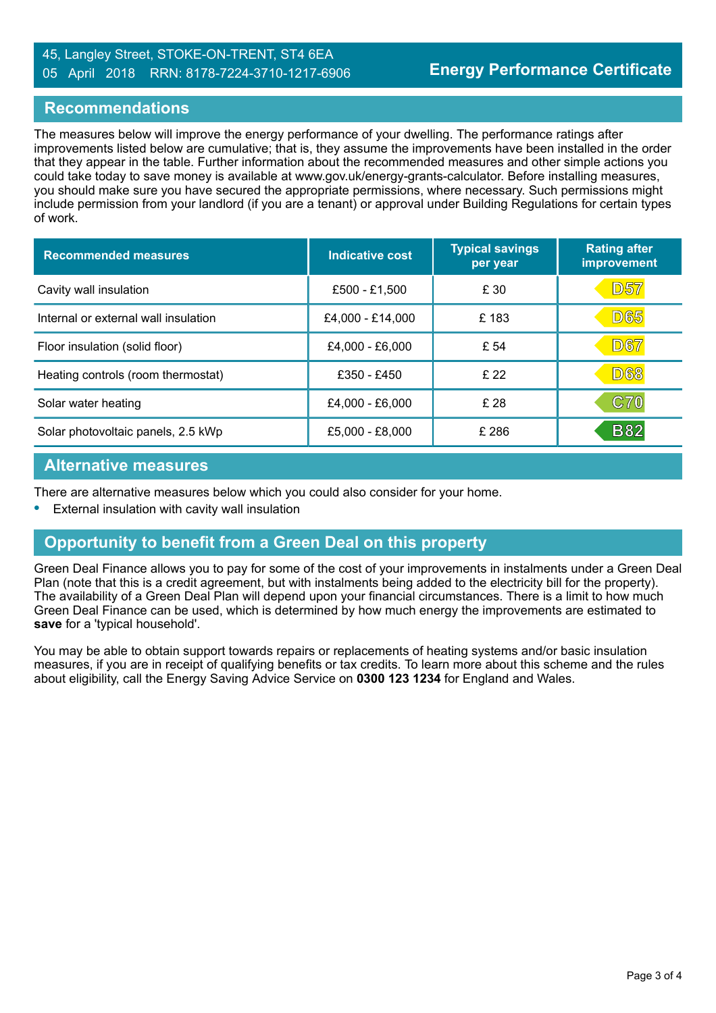# 45, Langley Street, STOKE-ON-TRENT, ST4 6EA 05 April 2018 RRN: 8178-7224-3710-1217-6906

# **Recommendations**

The measures below will improve the energy performance of your dwelling. The performance ratings after improvements listed below are cumulative; that is, they assume the improvements have been installed in the order that they appear in the table. Further information about the recommended measures and other simple actions you could take today to save money is available at www.gov.uk/energy-grants-calculator. Before installing measures, you should make sure you have secured the appropriate permissions, where necessary. Such permissions might include permission from your landlord (if you are a tenant) or approval under Building Regulations for certain types of work.

| <b>Recommended measures</b>          | Indicative cost  | <b>Typical savings</b><br>per year | <b>Rating after</b><br>improvement |
|--------------------------------------|------------------|------------------------------------|------------------------------------|
| Cavity wall insulation               | £500 - £1,500    | £ 30                               | D57                                |
| Internal or external wall insulation | £4,000 - £14,000 | £183                               | <b>D65</b>                         |
| Floor insulation (solid floor)       | £4,000 - £6,000  | £ 54                               | <b>D67</b>                         |
| Heating controls (room thermostat)   | £350 - £450      | £22                                | <b>D68</b>                         |
| Solar water heating                  | £4,000 - £6,000  | £ 28                               | C70                                |
| Solar photovoltaic panels, 2.5 kWp   | £5,000 - £8,000  | £ 286                              | <b>B82</b>                         |

# **Alternative measures**

There are alternative measures below which you could also consider for your home.

**•** External insulation with cavity wall insulation

# **Opportunity to benefit from a Green Deal on this property**

Green Deal Finance allows you to pay for some of the cost of your improvements in instalments under a Green Deal Plan (note that this is a credit agreement, but with instalments being added to the electricity bill for the property). The availability of a Green Deal Plan will depend upon your financial circumstances. There is a limit to how much Green Deal Finance can be used, which is determined by how much energy the improvements are estimated to **save** for a 'typical household'.

You may be able to obtain support towards repairs or replacements of heating systems and/or basic insulation measures, if you are in receipt of qualifying benefits or tax credits. To learn more about this scheme and the rules about eligibility, call the Energy Saving Advice Service on **0300 123 1234** for England and Wales.